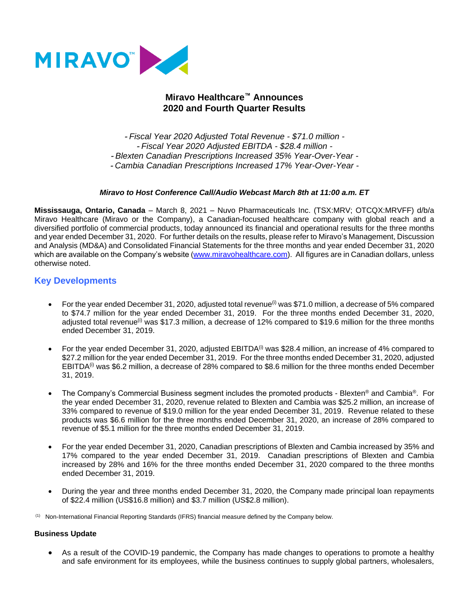

# **Miravo Healthcare™ Announces 2020 and Fourth Quarter Results**

- *Fiscal Year 2020 Adjusted Total Revenue - \$71.0 million -* - *Fiscal Year 2020 Adjusted EBITDA - \$28.4 million -* - *Blexten Canadian Prescriptions Increased 35% Year-Over-Year -* - *Cambia Canadian Prescriptions Increased 17% Year-Over-Year -*

### *Miravo to Host Conference Call/Audio Webcast March 8th at 11:00 a.m. ET*

**Mississauga, Ontario, Canada** – March 8, 2021 – Nuvo Pharmaceuticals Inc. (TSX:MRV; OTCQX:MRVFF) d/b/a Miravo Healthcare (Miravo or the Company), a Canadian-focused healthcare company with global reach and a diversified portfolio of commercial products, today announced its financial and operational results for the three months and year ended December 31, 2020. For further details on the results, please refer to Miravo's Management, Discussion and Analysis (MD&A) and Consolidated Financial Statements for the three months and year ended December 31, 2020 which are available on the Company's website [\(www.miravohealthcare.com\)](http://www.miravohealthcare.com/). All figures are in Canadian dollars, unless otherwise noted.

## **Key Developments**

- For the year ended December 31, 2020, adjusted total revenue<sup>(i)</sup> was \$71.0 million, a decrease of 5% compared to \$74.7 million for the year ended December 31, 2019. For the three months ended December 31, 2020, adjusted total revenue<sup>(i)</sup> was \$17.3 million, a decrease of 12% compared to \$19.6 million for the three months ended December 31, 2019.
- For the year ended December 31, 2020, adjusted EBITDA<sup>(i)</sup> was \$28.4 million, an increase of 4% compared to \$27.2 million for the year ended December 31, 2019. For the three months ended December 31, 2020, adjusted EBITDA<sup>(i)</sup> was \$6.2 million, a decrease of 28% compared to \$8.6 million for the three months ended December 31, 2019.
- The Company's Commercial Business segment includes the promoted products Blexten® and Cambia®. For the year ended December 31, 2020, revenue related to Blexten and Cambia was \$25.2 million, an increase of 33% compared to revenue of \$19.0 million for the year ended December 31, 2019. Revenue related to these products was \$6.6 million for the three months ended December 31, 2020, an increase of 28% compared to revenue of \$5.1 million for the three months ended December 31, 2019.
- For the year ended December 31, 2020, Canadian prescriptions of Blexten and Cambia increased by 35% and 17% compared to the year ended December 31, 2019. Canadian prescriptions of Blexten and Cambia increased by 28% and 16% for the three months ended December 31, 2020 compared to the three months ended December 31, 2019.
- During the year and three months ended December 31, 2020, the Company made principal loan repayments of \$22.4 million (US\$16.8 million) and \$3.7 million (US\$2.8 million).

(1) Non-International Financial Reporting Standards (IFRS) financial measure defined by the Company below.

#### **Business Update**

• As a result of the COVID-19 pandemic, the Company has made changes to operations to promote a healthy and safe environment for its employees, while the business continues to supply global partners, wholesalers,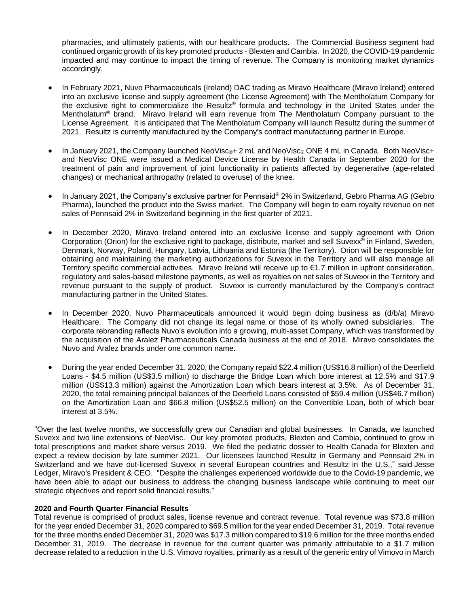pharmacies, and ultimately patients, with our healthcare products. The Commercial Business segment had continued organic growth of its key promoted products - Blexten and Cambia. In 2020, the COVID-19 pandemic impacted and may continue to impact the timing of revenue. The Company is monitoring market dynamics accordingly.

- In February 2021, Nuvo Pharmaceuticals (Ireland) DAC trading as Miravo Healthcare (Miravo Ireland) entered into an exclusive license and supply agreement (the License Agreement) with The Mentholatum Company for the exclusive right to commercialize the Resultz® formula and technology in the United States under the Mentholatum**®** brand. Miravo Ireland will earn revenue from The Mentholatum Company pursuant to the License Agreement. It is anticipated that The Mentholatum Company will launch Resultz during the summer of 2021. Resultz is currently manufactured by the Company's contract manufacturing partner in Europe.
- In January 2021, the Company launched NeoVisc<sup>®+</sup> 2 mL and NeoVisc® ONE 4 mL in Canada. Both NeoVisc+ and NeoVisc ONE were issued a Medical Device License by Health Canada in September 2020 for the treatment of pain and improvement of joint functionality in patients affected by degenerative (age-related changes) or mechanical arthropathy (related to overuse) of the knee.
- In January 2021, the Company's exclusive partner for Pennsaid® 2% in Switzerland, Gebro Pharma AG (Gebro Pharma), launched the product into the Swiss market. The Company will begin to earn royalty revenue on net sales of Pennsaid 2% in Switzerland beginning in the first quarter of 2021.
- In December 2020, Miravo Ireland entered into an exclusive license and supply agreement with Orion Corporation (Orion) for the exclusive right to package, distribute, market and sell Suvexx® in Finland, Sweden, Denmark, Norway, Poland, Hungary, Latvia, Lithuania and Estonia (the Territory). Orion will be responsible for obtaining and maintaining the marketing authorizations for Suvexx in the Territory and will also manage all Territory specific commercial activities. Miravo Ireland will receive up to €1.7 million in upfront consideration, regulatory and sales-based milestone payments, as well as royalties on net sales of Suvexx in the Territory and revenue pursuant to the supply of product. Suvexx is currently manufactured by the Company's contract manufacturing partner in the United States.
- In December 2020, Nuvo Pharmaceuticals announced it would begin doing business as (d/b/a) Miravo Healthcare. The Company did not change its legal name or those of its wholly owned subsidiaries. The corporate rebranding reflects Nuvo's evolution into a growing, multi-asset Company, which was transformed by the acquisition of the Aralez Pharmaceuticals Canada business at the end of 2018. Miravo consolidates the Nuvo and Aralez brands under one common name.
- During the year ended December 31, 2020, the Company repaid \$22.4 million (US\$16.8 million) of the Deerfield Loans - \$4.5 million (US\$3.5 million) to discharge the Bridge Loan which bore interest at 12.5% and \$17.9 million (US\$13.3 million) against the Amortization Loan which bears interest at 3.5%. As of December 31, 2020, the total remaining principal balances of the Deerfield Loans consisted of \$59.4 million (US\$46.7 million) on the Amortization Loan and \$66.8 million (US\$52.5 million) on the Convertible Loan, both of which bear interest at 3.5%.

"Over the last twelve months, we successfully grew our Canadian and global businesses. In Canada, we launched Suvexx and two line extensions of NeoVisc. Our key promoted products, Blexten and Cambia, continued to grow in total prescriptions and market share versus 2019. We filed the pediatric dossier to Health Canada for Blexten and expect a review decision by late summer 2021. Our licensees launched Resultz in Germany and Pennsaid 2% in Switzerland and we have out-licensed Suvexx in several European countries and Resultz in the U.S.," said Jesse Ledger, Miravo's President & CEO. "Despite the challenges experienced worldwide due to the Covid-19 pandemic, we have been able to adapt our business to address the changing business landscape while continuing to meet our strategic objectives and report solid financial results."

#### **2020 and Fourth Quarter Financial Results**

Total revenue is comprised of product sales, license revenue and contract revenue. Total revenue was \$73.8 million for the year ended December 31, 2020 compared to \$69.5 million for the year ended December 31, 2019. Total revenue for the three months ended December 31, 2020 was \$17.3 million compared to \$19.6 million for the three months ended December 31, 2019. The decrease in revenue for the current quarter was primarily attributable to a \$1.7 million decrease related to a reduction in the U.S. Vimovo royalties, primarily as a result of the generic entry of Vimovo in March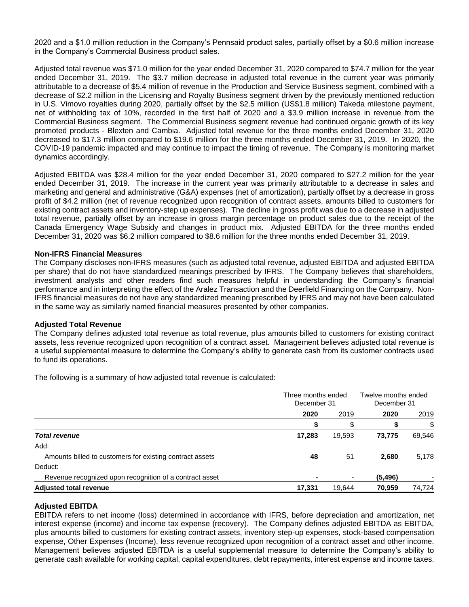2020 and a \$1.0 million reduction in the Company's Pennsaid product sales, partially offset by a \$0.6 million increase in the Company's Commercial Business product sales.

Adjusted total revenue was \$71.0 million for the year ended December 31, 2020 compared to \$74.7 million for the year ended December 31, 2019. The \$3.7 million decrease in adjusted total revenue in the current year was primarily attributable to a decrease of \$5.4 million of revenue in the Production and Service Business segment, combined with a decrease of \$2.2 million in the Licensing and Royalty Business segment driven by the previously mentioned reduction in U.S. Vimovo royalties during 2020, partially offset by the \$2.5 million (US\$1.8 million) Takeda milestone payment, net of withholding tax of 10%, recorded in the first half of 2020 and a \$3.9 million increase in revenue from the Commercial Business segment. The Commercial Business segment revenue had continued organic growth of its key promoted products - Blexten and Cambia. Adjusted total revenue for the three months ended December 31, 2020 decreased to \$17.3 million compared to \$19.6 million for the three months ended December 31, 2019. In 2020, the COVID-19 pandemic impacted and may continue to impact the timing of revenue. The Company is monitoring market dynamics accordingly.

Adjusted EBITDA was \$28.4 million for the year ended December 31, 2020 compared to \$27.2 million for the year ended December 31, 2019. The increase in the current year was primarily attributable to a decrease in sales and marketing and general and administrative (G&A) expenses (net of amortization), partially offset by a decrease in gross profit of \$4.2 million (net of revenue recognized upon recognition of contract assets, amounts billed to customers for existing contract assets and inventory-step up expenses). The decline in gross profit was due to a decrease in adjusted total revenue, partially offset by an increase in gross margin percentage on product sales due to the receipt of the Canada Emergency Wage Subsidy and changes in product mix. Adjusted EBITDA for the three months ended December 31, 2020 was \$6.2 million compared to \$8.6 million for the three months ended December 31, 2019.

#### **Non-IFRS Financial Measures**

The Company discloses non-IFRS measures (such as adjusted total revenue, adjusted EBITDA and adjusted EBITDA per share) that do not have standardized meanings prescribed by IFRS. The Company believes that shareholders, investment analysts and other readers find such measures helpful in understanding the Company's financial performance and in interpreting the effect of the Aralez Transaction and the Deerfield Financing on the Company. Non-IFRS financial measures do not have any standardized meaning prescribed by IFRS and may not have been calculated in the same way as similarly named financial measures presented by other companies.

#### **Adjusted Total Revenue**

The Company defines adjusted total revenue as total revenue, plus amounts billed to customers for existing contract assets, less revenue recognized upon recognition of a contract asset. Management believes adjusted total revenue is a useful supplemental measure to determine the Company's ability to generate cash from its customer contracts used to fund its operations.

The following is a summary of how adjusted total revenue is calculated:

|                                                          | Three months ended<br>December 31 |        | Twelve months ended<br>December 31 |        |
|----------------------------------------------------------|-----------------------------------|--------|------------------------------------|--------|
|                                                          | 2020                              | 2019   | 2020                               | 2019   |
|                                                          | S                                 |        |                                    | \$     |
| <b>Total revenue</b>                                     | 17,283                            | 19,593 | 73.775                             | 69,546 |
| Add:                                                     |                                   |        |                                    |        |
| Amounts billed to customers for existing contract assets | 48                                | 51     | 2,680                              | 5,178  |
| Deduct:                                                  |                                   |        |                                    |        |
| Revenue recognized upon recognition of a contract asset  | ۰                                 | ٠      | (5, 496)                           |        |
| <b>Adjusted total revenue</b>                            | 17,331                            | 19,644 | 70,959                             | 74,724 |

#### **Adjusted EBITDA**

EBITDA refers to net income (loss) determined in accordance with IFRS, before depreciation and amortization, net interest expense (income) and income tax expense (recovery). The Company defines adjusted EBITDA as EBITDA, plus amounts billed to customers for existing contract assets, inventory step-up expenses, stock-based compensation expense, Other Expenses (Income), less revenue recognized upon recognition of a contract asset and other income. Management believes adjusted EBITDA is a useful supplemental measure to determine the Company's ability to generate cash available for working capital, capital expenditures, debt repayments, interest expense and income taxes.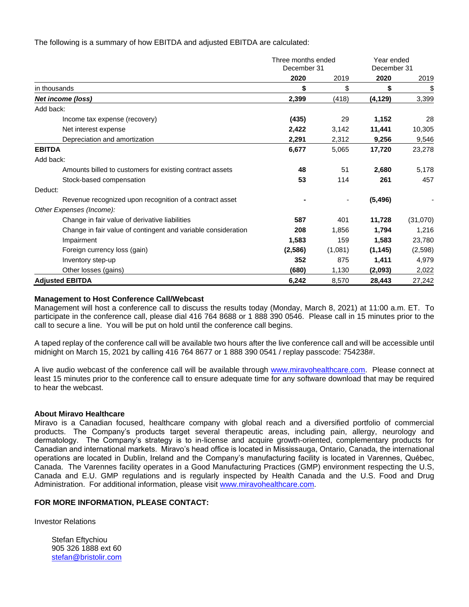The following is a summary of how EBITDA and adjusted EBITDA are calculated:

|                                                               | Three months ended<br>December 31 |                          | Year ended<br>December 31 |           |
|---------------------------------------------------------------|-----------------------------------|--------------------------|---------------------------|-----------|
|                                                               |                                   |                          |                           |           |
|                                                               | 2020                              | 2019                     | 2020                      | 2019      |
| in thousands                                                  | \$                                | \$                       | \$                        | <u>\$</u> |
| Net income (loss)                                             | 2,399                             | (418)                    | (4, 129)                  | 3,399     |
| Add back:                                                     |                                   |                          |                           |           |
| Income tax expense (recovery)                                 | (435)                             | 29                       | 1,152                     | 28        |
| Net interest expense                                          | 2,422                             | 3,142                    | 11,441                    | 10,305    |
| Depreciation and amortization                                 | 2,291                             | 2,312                    | 9,256                     | 9,546     |
| <b>EBITDA</b>                                                 | 6,677                             | 5,065                    | 17,720                    | 23,278    |
| Add back:                                                     |                                   |                          |                           |           |
| Amounts billed to customers for existing contract assets      | 48                                | 51                       | 2,680                     | 5,178     |
| Stock-based compensation                                      | 53                                | 114                      | 261                       | 457       |
| Deduct:                                                       |                                   |                          |                           |           |
| Revenue recognized upon recognition of a contract asset       |                                   | $\overline{\phantom{a}}$ | (5, 496)                  |           |
| Other Expenses (Income):                                      |                                   |                          |                           |           |
| Change in fair value of derivative liabilities                | 587                               | 401                      | 11,728                    | (31,070)  |
| Change in fair value of contingent and variable consideration | 208                               | 1,856                    | 1,794                     | 1,216     |
| Impairment                                                    | 1,583                             | 159                      | 1,583                     | 23,780    |
| Foreign currency loss (gain)                                  | (2,586)                           | (1,081)                  | (1, 145)                  | (2,598)   |
| Inventory step-up                                             | 352                               | 875                      | 1,411                     | 4,979     |
| Other losses (gains)                                          | (680)                             | 1,130                    | (2,093)                   | 2,022     |
| <b>Adjusted EBITDA</b>                                        | 6,242                             | 8,570                    | 28,443                    | 27,242    |

#### **Management to Host Conference Call/Webcast**

Management will host a conference call to discuss the results today (Monday, March 8, 2021) at 11:00 a.m. ET. To participate in the conference call, please dial 416 764 8688 or 1 888 390 0546. Please call in 15 minutes prior to the call to secure a line. You will be put on hold until the conference call begins.

A taped replay of the conference call will be available two hours after the live conference call and will be accessible until midnight on March 15, 2021 by calling 416 764 8677 or 1 888 390 0541 / replay passcode: 754238#.

A live audio webcast of the conference call will be available through [www.miravohealthcare.com.](http://www.miravohealthcare.com/) Please connect at least 15 minutes prior to the conference call to ensure adequate time for any software download that may be required to hear the webcast.

#### **About Miravo Healthcare**

Miravo is a Canadian focused, healthcare company with global reach and a diversified portfolio of commercial products. The Company's products target several therapeutic areas, including pain, allergy, neurology and dermatology. The Company's strategy is to in-license and acquire growth-oriented, complementary products for Canadian and international markets. Miravo's head office is located in Mississauga, Ontario, Canada, the international operations are located in Dublin, Ireland and the Company's manufacturing facility is located in Varennes, Québec, Canada. The Varennes facility operates in a Good Manufacturing Practices (GMP) environment respecting the U.S, Canada and E.U. GMP regulations and is regularly inspected by Health Canada and the U.S. Food and Drug Administration. For additional information, please visit [www.miravohealthcare.com.](http://www.miravohealthcare.com/)

#### **FOR MORE INFORMATION, PLEASE CONTACT:**

Investor Relations

Stefan Eftychiou 905 326 1888 ext 60 [stefan@bristolir.com](mailto:stefan@bristolir.com)